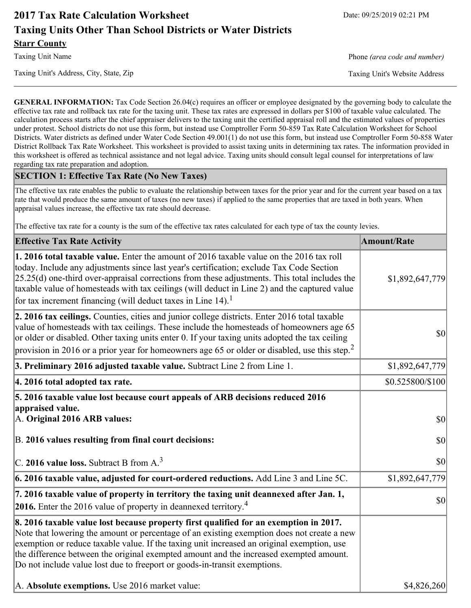# **2017 Tax Rate Calculation Worksheet** Date: 09/25/2019 02:21 PM **Taxing Units Other Than School Districts or Water Districts Starr County**

Taxing Unit's Address, City, State, Zip Taxing Unit's Website Address

Taxing Unit Name **Phone** *(area code and number)* Phone *(area code and number)* 

**GENERAL INFORMATION:** Tax Code Section 26.04(c) requires an officer or employee designated by the governing body to calculate the effective tax rate and rollback tax rate for the taxing unit. These tax rates are expressed in dollars per \$100 of taxable value calculated. The calculation process starts after the chief appraiser delivers to the taxing unit the certified appraisal roll and the estimated values of properties under protest. School districts do not use this form, but instead use Comptroller Form 50-859 Tax Rate Calculation Worksheet for School Districts. Water districts as defined under Water Code Section 49.001(1) do not use this form, but instead use Comptroller Form 50-858 Water District Rollback Tax Rate Worksheet. This worksheet is provided to assist taxing units in determining tax rates. The information provided in this worksheet is offered as technical assistance and not legal advice. Taxing units should consult legal counsel for interpretations of law regarding tax rate preparation and adoption.

### **SECTION 1: Effective Tax Rate (No New Taxes)**

The effective tax rate enables the public to evaluate the relationship between taxes for the prior year and for the current year based on a tax rate that would produce the same amount of taxes (no new taxes) if applied to the same properties that are taxed in both years. When appraisal values increase, the effective tax rate should decrease.

The effective tax rate for a county is the sum of the effective tax rates calculated for each type of tax the county levies.

| <b>Effective Tax Rate Activity</b>                                                                                                                                                                                                                                                                                                                                                                                                                                      | <b>Amount/Rate</b> |
|-------------------------------------------------------------------------------------------------------------------------------------------------------------------------------------------------------------------------------------------------------------------------------------------------------------------------------------------------------------------------------------------------------------------------------------------------------------------------|--------------------|
| 1. 2016 total taxable value. Enter the amount of 2016 taxable value on the 2016 tax roll<br>today. Include any adjustments since last year's certification; exclude Tax Code Section<br>$[25.25(d)$ one-third over-appraisal corrections from these adjustments. This total includes the<br>taxable value of homesteads with tax ceilings (will deduct in Line 2) and the captured value<br>for tax increment financing (will deduct taxes in Line $14$ ). <sup>1</sup> | \$1,892,647,779    |
| 2. 2016 tax ceilings. Counties, cities and junior college districts. Enter 2016 total taxable<br>value of homesteads with tax ceilings. These include the homesteads of homeowners age 65<br>or older or disabled. Other taxing units enter 0. If your taxing units adopted the tax ceiling<br>provision in 2016 or a prior year for homeowners age 65 or older or disabled, use this step. <sup>2</sup>                                                                | $ 10\rangle$       |
| 3. Preliminary 2016 adjusted taxable value. Subtract Line 2 from Line 1.                                                                                                                                                                                                                                                                                                                                                                                                | \$1,892,647,779    |
| 4. 2016 total adopted tax rate.                                                                                                                                                                                                                                                                                                                                                                                                                                         | \$0.525800/\$100   |
| 5. 2016 taxable value lost because court appeals of ARB decisions reduced 2016<br>appraised value.<br>A. Original 2016 ARB values:                                                                                                                                                                                                                                                                                                                                      | $ 10\rangle$       |
| B. 2016 values resulting from final court decisions:<br>$\vert$ C. 2016 value loss. Subtract B from A. <sup>3</sup>                                                                                                                                                                                                                                                                                                                                                     | \$0 <br> 30        |
| $\vert$ 6. 2016 taxable value, adjusted for court-ordered reductions. Add Line 3 and Line 5C.                                                                                                                                                                                                                                                                                                                                                                           | \$1,892,647,779    |
| 7. 2016 taxable value of property in territory the taxing unit deannexed after Jan. 1,<br><b>2016.</b> Enter the 2016 value of property in deannexed territory. <sup>4</sup>                                                                                                                                                                                                                                                                                            | \$0                |
| 8. 2016 taxable value lost because property first qualified for an exemption in 2017.<br>Note that lowering the amount or percentage of an existing exemption does not create a new<br>exemption or reduce taxable value. If the taxing unit increased an original exemption, use<br>the difference between the original exempted amount and the increased exempted amount.<br>Do not include value lost due to freeport or goods-in-transit exemptions.                |                    |
| A. Absolute exemptions. Use 2016 market value:                                                                                                                                                                                                                                                                                                                                                                                                                          | \$4,826,260        |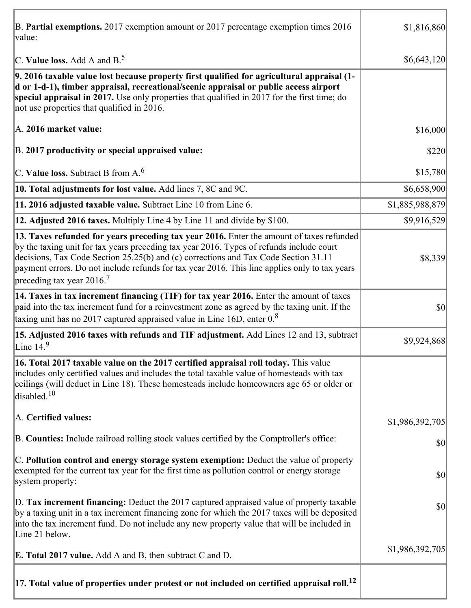| B. Partial exemptions. 2017 exemption amount or 2017 percentage exemption times 2016<br>value:                                                                                                                                                                                                                                                                                                                         | \$1,816,860     |
|------------------------------------------------------------------------------------------------------------------------------------------------------------------------------------------------------------------------------------------------------------------------------------------------------------------------------------------------------------------------------------------------------------------------|-----------------|
| C. Value loss. Add A and $B^5$ .                                                                                                                                                                                                                                                                                                                                                                                       | \$6,643,120     |
| 9. 2016 taxable value lost because property first qualified for agricultural appraisal (1-<br>d or 1-d-1), timber appraisal, recreational/scenic appraisal or public access airport<br>special appraisal in 2017. Use only properties that qualified in 2017 for the first time; do<br>not use properties that qualified in 2016.                                                                                      |                 |
| A. 2016 market value:                                                                                                                                                                                                                                                                                                                                                                                                  | \$16,000        |
| B. 2017 productivity or special appraised value:                                                                                                                                                                                                                                                                                                                                                                       | \$220           |
| C. Value loss. Subtract B from $A6$                                                                                                                                                                                                                                                                                                                                                                                    | \$15,780        |
| 10. Total adjustments for lost value. Add lines 7, 8C and 9C.                                                                                                                                                                                                                                                                                                                                                          | \$6,658,900     |
| 11. 2016 adjusted taxable value. Subtract Line 10 from Line 6.                                                                                                                                                                                                                                                                                                                                                         | \$1,885,988,879 |
| 12. Adjusted 2016 taxes. Multiply Line 4 by Line 11 and divide by \$100.                                                                                                                                                                                                                                                                                                                                               | \$9,916,529     |
| 13. Taxes refunded for years preceding tax year 2016. Enter the amount of taxes refunded<br>by the taxing unit for tax years preceding tax year 2016. Types of refunds include court<br>decisions, Tax Code Section 25.25(b) and (c) corrections and Tax Code Section 31.11<br>payment errors. Do not include refunds for tax year 2016. This line applies only to tax years<br>preceding tax year $2016$ <sup>7</sup> | \$8,339         |
| 14. Taxes in tax increment financing (TIF) for tax year 2016. Enter the amount of taxes<br>paid into the tax increment fund for a reinvestment zone as agreed by the taxing unit. If the<br>taxing unit has no 2017 captured appraised value in Line 16D, enter $0.8$                                                                                                                                                  | \$0             |
| 15. Adjusted 2016 taxes with refunds and TIF adjustment. Add Lines 12 and 13, subtract<br>Line $149$                                                                                                                                                                                                                                                                                                                   | \$9,924,868     |
| 16. Total 2017 taxable value on the 2017 certified appraisal roll today. This value<br>includes only certified values and includes the total taxable value of homesteads with tax<br>ceilings (will deduct in Line 18). These homesteads include homeowners age 65 or older or<br>disabled. <sup>10</sup>                                                                                                              |                 |
| A. Certified values:                                                                                                                                                                                                                                                                                                                                                                                                   | \$1,986,392,705 |
| B. Counties: Include railroad rolling stock values certified by the Comptroller's office:                                                                                                                                                                                                                                                                                                                              | \$0             |
| C. Pollution control and energy storage system exemption: Deduct the value of property<br>exempted for the current tax year for the first time as pollution control or energy storage<br>system property:                                                                                                                                                                                                              | \$0             |
| D. Tax increment financing: Deduct the 2017 captured appraised value of property taxable<br>by a taxing unit in a tax increment financing zone for which the 2017 taxes will be deposited<br>into the tax increment fund. Do not include any new property value that will be included in<br>Line 21 below.                                                                                                             | \$0             |
| <b>E. Total 2017 value.</b> Add A and B, then subtract C and D.                                                                                                                                                                                                                                                                                                                                                        | \$1,986,392,705 |
| $ 17.$ Total value of properties under protest or not included on certified appraisal roll. $^{12}$                                                                                                                                                                                                                                                                                                                    |                 |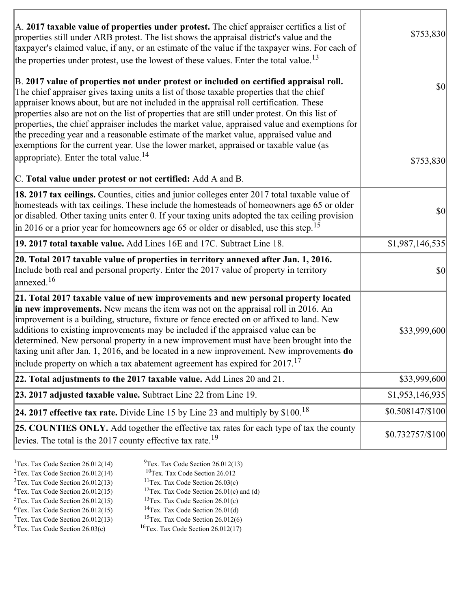| A. 2017 taxable value of properties under protest. The chief appraiser certifies a list of<br>properties still under ARB protest. The list shows the appraisal district's value and the<br>taxpayer's claimed value, if any, or an estimate of the value if the taxpayer wins. For each of<br>the properties under protest, use the lowest of these values. Enter the total value. <sup>13</sup>                                                                                                                                                                                                                                                                                                                         | \$753,830         |
|--------------------------------------------------------------------------------------------------------------------------------------------------------------------------------------------------------------------------------------------------------------------------------------------------------------------------------------------------------------------------------------------------------------------------------------------------------------------------------------------------------------------------------------------------------------------------------------------------------------------------------------------------------------------------------------------------------------------------|-------------------|
| B. 2017 value of properties not under protest or included on certified appraisal roll.<br>The chief appraiser gives taxing units a list of those taxable properties that the chief<br>appraiser knows about, but are not included in the appraisal roll certification. These<br>properties also are not on the list of properties that are still under protest. On this list of<br>properties, the chief appraiser includes the market value, appraised value and exemptions for<br>the preceding year and a reasonable estimate of the market value, appraised value and<br>exemptions for the current year. Use the lower market, appraised or taxable value (as<br>appropriate). Enter the total value. <sup>14</sup> | $ 10\rangle$      |
| C. Total value under protest or not certified: Add A and B.                                                                                                                                                                                                                                                                                                                                                                                                                                                                                                                                                                                                                                                              | \$753,830         |
| <b>18. 2017 tax ceilings.</b> Counties, cities and junior colleges enter 2017 total taxable value of<br>homesteads with tax ceilings. These include the homesteads of homeowners age 65 or older<br>or disabled. Other taxing units enter 0. If your taxing units adopted the tax ceiling provision<br>in 2016 or a prior year for homeowners age 65 or older or disabled, use this step. <sup>15</sup>                                                                                                                                                                                                                                                                                                                  | \$0               |
| 19. 2017 total taxable value. Add Lines 16E and 17C. Subtract Line 18.                                                                                                                                                                                                                                                                                                                                                                                                                                                                                                                                                                                                                                                   | \$1,987,146,535   |
| 20. Total 2017 taxable value of properties in territory annexed after Jan. 1, 2016.<br>Include both real and personal property. Enter the 2017 value of property in territory<br>$\alpha$ annexed. <sup>16</sup>                                                                                                                                                                                                                                                                                                                                                                                                                                                                                                         | 30                |
| 21. Total 2017 taxable value of new improvements and new personal property located<br>in new improvements. New means the item was not on the appraisal roll in 2016. An<br>improvement is a building, structure, fixture or fence erected on or affixed to land. New<br>additions to existing improvements may be included if the appraised value can be<br>determined. New personal property in a new improvement must have been brought into the<br>taxing unit after Jan. 1, 2016, and be located in a new improvement. New improvements do<br>include property on which a tax abatement agreement has expired for $2017$ . <sup>17</sup>                                                                             | \$33,999,600      |
| 22. Total adjustments to the 2017 taxable value. Add Lines 20 and 21.                                                                                                                                                                                                                                                                                                                                                                                                                                                                                                                                                                                                                                                    | \$33,999,600      |
| 23. 2017 adjusted taxable value. Subtract Line 22 from Line 19.                                                                                                                                                                                                                                                                                                                                                                                                                                                                                                                                                                                                                                                          | \$1,953,146,935   |
| 24. 2017 effective tax rate. Divide Line 15 by Line 23 and multiply by $$100$ . <sup>18</sup>                                                                                                                                                                                                                                                                                                                                                                                                                                                                                                                                                                                                                            | \$0.508147/\$100  |
| 25. COUNTIES ONLY. Add together the effective tax rates for each type of tax the county<br>levies. The total is the 2017 county effective tax rate. <sup>19</sup>                                                                                                                                                                                                                                                                                                                                                                                                                                                                                                                                                        | $$0.732757/\$100$ |

ĭ

| <sup>1</sup> Tex. Tax Code Section $26.012(14)$ | $9$ Tex. Tax Code Section 26.012(13)                 |
|-------------------------------------------------|------------------------------------------------------|
| <sup>2</sup> Tex. Tax Code Section $26.012(14)$ | <sup>10</sup> Tex. Tax Code Section 26.012           |
| $3$ Tex. Tax Code Section 26.012(13)            | <sup>11</sup> Tex. Tax Code Section $26.03(c)$       |
| ${}^{4}$ Tex. Tax Code Section 26.012(15)       | <sup>12</sup> Tex. Tax Code Section 26.01(c) and (d) |
| $5$ Tex. Tax Code Section 26.012(15)            | <sup>13</sup> Tex. Tax Code Section $26.01(c)$       |
| ${}^{6}$ Tex. Tax Code Section 26.012(15)       | <sup>14</sup> Tex. Tax Code Section $26.01(d)$       |
| $7$ Tex. Tax Code Section 26.012(13)            | <sup>15</sup> Tex. Tax Code Section $26.012(6)$      |
|                                                 |                                                      |

 ${}^{8}$ Tex. Tax Code Section 26.03(c)  ${}^{16}$ Tex. Tax Code Section 26.012(17)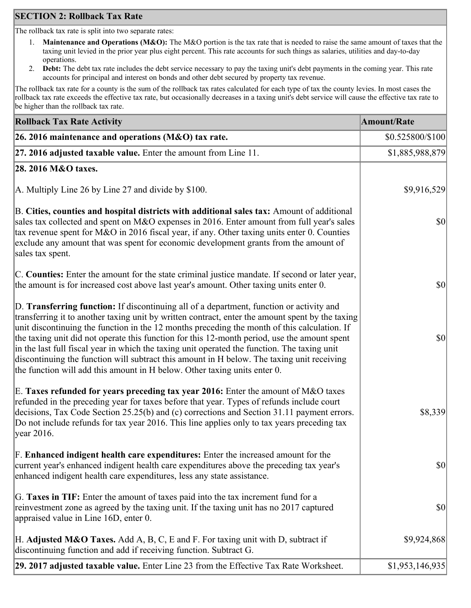## **SECTION 2: Rollback Tax Rate**

The rollback tax rate is split into two separate rates:

- 1. **Maintenance and Operations (M&O):** The M&O portion is the tax rate that is needed to raise the same amount of taxes that the taxing unit levied in the prior year plus eight percent. This rate accounts for such things as salaries, utilities and day-to-day operations.
- 2. **Debt:** The debt tax rate includes the debt service necessary to pay the taxing unit's debt payments in the coming year. This rate accounts for principal and interest on bonds and other debt secured by property tax revenue.

The rollback tax rate for a county is the sum of the rollback tax rates calculated for each type of tax the county levies. In most cases the rollback tax rate exceeds the effective tax rate, but occasionally decreases in a taxing unit's debt service will cause the effective tax rate to be higher than the rollback tax rate.

| <b>Rollback Tax Rate Activity</b>                                                                                                                                                                                                                                                                                                                                                                                                                                                                                                                                                                                                                                       | <b>Amount/Rate</b> |
|-------------------------------------------------------------------------------------------------------------------------------------------------------------------------------------------------------------------------------------------------------------------------------------------------------------------------------------------------------------------------------------------------------------------------------------------------------------------------------------------------------------------------------------------------------------------------------------------------------------------------------------------------------------------------|--------------------|
| 26. 2016 maintenance and operations (M&O) tax rate.                                                                                                                                                                                                                                                                                                                                                                                                                                                                                                                                                                                                                     | \$0.525800/\$100   |
| 27. 2016 adjusted taxable value. Enter the amount from Line 11.                                                                                                                                                                                                                                                                                                                                                                                                                                                                                                                                                                                                         | \$1,885,988,879    |
| 28. 2016 M&O taxes.                                                                                                                                                                                                                                                                                                                                                                                                                                                                                                                                                                                                                                                     |                    |
| A. Multiply Line 26 by Line 27 and divide by $$100$ .                                                                                                                                                                                                                                                                                                                                                                                                                                                                                                                                                                                                                   | \$9,916,529        |
| B. Cities, counties and hospital districts with additional sales tax: Amount of additional<br>sales tax collected and spent on M&O expenses in 2016. Enter amount from full year's sales<br>tax revenue spent for M&O in 2016 fiscal year, if any. Other taxing units enter 0. Counties<br>exclude any amount that was spent for economic development grants from the amount of<br>sales tax spent.                                                                                                                                                                                                                                                                     | $ 10\rangle$       |
| C. Counties: Enter the amount for the state criminal justice mandate. If second or later year,<br>the amount is for increased cost above last year's amount. Other taxing units enter 0.                                                                                                                                                                                                                                                                                                                                                                                                                                                                                | $ 10\rangle$       |
| D. Transferring function: If discontinuing all of a department, function or activity and<br>transferring it to another taxing unit by written contract, enter the amount spent by the taxing<br>unit discontinuing the function in the 12 months preceding the month of this calculation. If<br>the taxing unit did not operate this function for this 12-month period, use the amount spent<br>in the last full fiscal year in which the taxing unit operated the function. The taxing unit<br>discontinuing the function will subtract this amount in H below. The taxing unit receiving<br>the function will add this amount in H below. Other taxing units enter 0. | $ 10\rangle$       |
| E. Taxes refunded for years preceding tax year 2016: Enter the amount of M&O taxes<br>refunded in the preceding year for taxes before that year. Types of refunds include court<br>decisions, Tax Code Section 25.25(b) and (c) corrections and Section 31.11 payment errors.<br>Do not include refunds for tax year 2016. This line applies only to tax years preceding tax<br> year 2016.                                                                                                                                                                                                                                                                             | \$8,339            |
| F. Enhanced indigent health care expenditures: Enter the increased amount for the<br>current year's enhanced indigent health care expenditures above the preceding tax year's<br>enhanced indigent health care expenditures, less any state assistance.                                                                                                                                                                                                                                                                                                                                                                                                                 | $ 10\rangle$       |
| G. Taxes in TIF: Enter the amount of taxes paid into the tax increment fund for a<br>reinvestment zone as agreed by the taxing unit. If the taxing unit has no 2017 captured<br>appraised value in Line 16D, enter 0.                                                                                                                                                                                                                                                                                                                                                                                                                                                   | $ 10\rangle$       |
| H. Adjusted M&O Taxes. Add A, B, C, E and F. For taxing unit with D, subtract if<br>discontinuing function and add if receiving function. Subtract G.                                                                                                                                                                                                                                                                                                                                                                                                                                                                                                                   | \$9,924,868        |
| 29. 2017 adjusted taxable value. Enter Line 23 from the Effective Tax Rate Worksheet.                                                                                                                                                                                                                                                                                                                                                                                                                                                                                                                                                                                   | \$1,953,146,935    |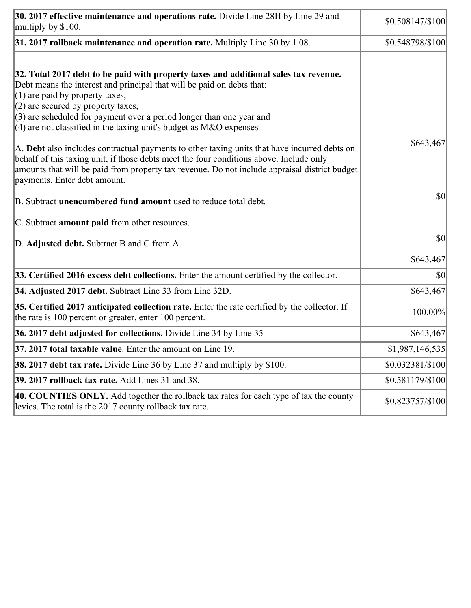| 30. 2017 effective maintenance and operations rate. Divide Line 28H by Line 29 and<br>multiply by \$100.                                                                                                                                                                                                                                                                                      | $$0.508147/\$100$ |
|-----------------------------------------------------------------------------------------------------------------------------------------------------------------------------------------------------------------------------------------------------------------------------------------------------------------------------------------------------------------------------------------------|-------------------|
| $31.2017$ rollback maintenance and operation rate. Multiply Line 30 by 1.08.                                                                                                                                                                                                                                                                                                                  | \$0.548798/\$100  |
| 32. Total 2017 debt to be paid with property taxes and additional sales tax revenue.<br>Debt means the interest and principal that will be paid on debts that:<br>$(1)$ are paid by property taxes,<br>$(2)$ are secured by property taxes,<br>$(3)$ are scheduled for payment over a period longer than one year and<br>$(4)$ are not classified in the taxing unit's budget as M&O expenses |                   |
| A. Debt also includes contractual payments to other taxing units that have incurred debts on<br>behalf of this taxing unit, if those debts meet the four conditions above. Include only<br>amounts that will be paid from property tax revenue. Do not include appraisal district budget<br>payments. Enter debt amount.                                                                      | \$643,467         |
| B. Subtract <b>unencumbered fund amount</b> used to reduce total debt.                                                                                                                                                                                                                                                                                                                        | \$0               |
| C. Subtract <b>amount paid</b> from other resources.                                                                                                                                                                                                                                                                                                                                          |                   |
| D. Adjusted debt. Subtract B and C from A.                                                                                                                                                                                                                                                                                                                                                    | \$0               |
|                                                                                                                                                                                                                                                                                                                                                                                               | \$643,467         |
| 33. Certified 2016 excess debt collections. Enter the amount certified by the collector.                                                                                                                                                                                                                                                                                                      | \$0               |
| 34. Adjusted 2017 debt. Subtract Line 33 from Line 32D.                                                                                                                                                                                                                                                                                                                                       | \$643,467         |
| 35. Certified 2017 anticipated collection rate. Enter the rate certified by the collector. If<br>the rate is 100 percent or greater, enter 100 percent.                                                                                                                                                                                                                                       | 100.00%           |
| 36. 2017 debt adjusted for collections. Divide Line 34 by Line 35                                                                                                                                                                                                                                                                                                                             | \$643,467         |
| $ 37, 2017$ total taxable value. Enter the amount on Line 19.                                                                                                                                                                                                                                                                                                                                 | \$1,987,146,535   |
| <b>38. 2017 debt tax rate.</b> Divide Line 36 by Line 37 and multiply by \$100.                                                                                                                                                                                                                                                                                                               | $$0.032381/\$100$ |
| 39. 2017 rollback tax rate. Add Lines 31 and 38.                                                                                                                                                                                                                                                                                                                                              | \$0.581179/\$100  |
| 40. COUNTIES ONLY. Add together the rollback tax rates for each type of tax the county<br>levies. The total is the 2017 county rollback tax rate.                                                                                                                                                                                                                                             | \$0.823757/\$100  |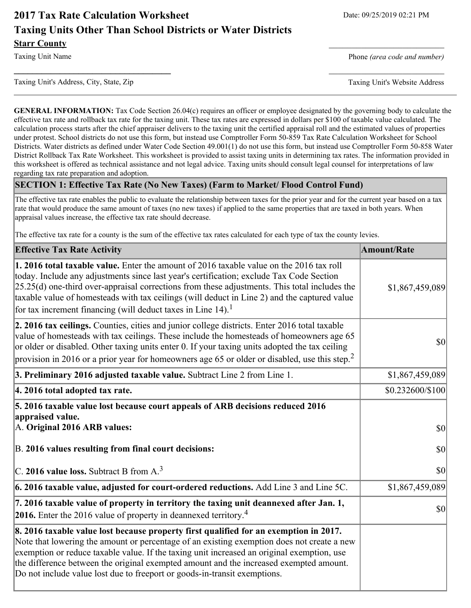# **2017 Tax Rate Calculation Worksheet** Date: 09/25/2019 02:21 PM **Taxing Units Other Than School Districts or Water Districts Starr County**

Taxing Unit Name **Phone** *(area code and number)* Phone *(area code and number)* 

Taxing Unit's Address, City, State, Zip Taxing Unit's Website Address

**\_\_\_\_\_\_\_\_\_\_\_\_\_\_\_\_\_\_\_\_\_\_\_\_\_\_\_\_\_\_\_\_\_\_** \_\_\_\_\_\_\_\_\_\_\_\_\_\_\_\_\_\_\_\_\_\_\_\_\_

**GENERAL INFORMATION:** Tax Code Section 26.04(c) requires an officer or employee designated by the governing body to calculate the effective tax rate and rollback tax rate for the taxing unit. These tax rates are expressed in dollars per \$100 of taxable value calculated. The calculation process starts after the chief appraiser delivers to the taxing unit the certified appraisal roll and the estimated values of properties under protest. School districts do not use this form, but instead use Comptroller Form 50-859 Tax Rate Calculation Worksheet for School Districts. Water districts as defined under Water Code Section 49.001(1) do not use this form, but instead use Comptroller Form 50-858 Water District Rollback Tax Rate Worksheet. This worksheet is provided to assist taxing units in determining tax rates. The information provided in this worksheet is offered as technical assistance and not legal advice. Taxing units should consult legal counsel for interpretations of law regarding tax rate preparation and adoption.

#### **SECTION 1: Effective Tax Rate (No New Taxes) (Farm to Market/ Flood Control Fund)**

The effective tax rate enables the public to evaluate the relationship between taxes for the prior year and for the current year based on a tax rate that would produce the same amount of taxes (no new taxes) if applied to the same properties that are taxed in both years. When appraisal values increase, the effective tax rate should decrease.

The effective tax rate for a county is the sum of the effective tax rates calculated for each type of tax the county levies.

| <b>Effective Tax Rate Activity</b>                                                                                                                                                                                                                                                                                                                                                                                                                                   | <b>Amount/Rate</b> |
|----------------------------------------------------------------------------------------------------------------------------------------------------------------------------------------------------------------------------------------------------------------------------------------------------------------------------------------------------------------------------------------------------------------------------------------------------------------------|--------------------|
| 1. 2016 total taxable value. Enter the amount of 2016 taxable value on the 2016 tax roll<br>today. Include any adjustments since last year's certification; exclude Tax Code Section<br>$[25.25(d)$ one-third over-appraisal corrections from these adjustments. This total includes the<br>taxable value of homesteads with tax ceilings (will deduct in Line 2) and the captured value<br>for tax increment financing (will deduct taxes in Line 14). <sup>1</sup> | \$1,867,459,089    |
| 2. 2016 tax ceilings. Counties, cities and junior college districts. Enter 2016 total taxable<br>value of homesteads with tax ceilings. These include the homesteads of homeowners age 65<br>or older or disabled. Other taxing units enter 0. If your taxing units adopted the tax ceiling<br>provision in 2016 or a prior year for homeowners age 65 or older or disabled, use this step. <sup>2</sup>                                                             | \$0                |
| 3. Preliminary 2016 adjusted taxable value. Subtract Line 2 from Line 1.                                                                                                                                                                                                                                                                                                                                                                                             | \$1,867,459,089    |
| 4. 2016 total adopted tax rate.                                                                                                                                                                                                                                                                                                                                                                                                                                      | \$0.232600/\$100   |
| 5. 2016 taxable value lost because court appeals of ARB decisions reduced 2016<br>appraised value.<br>A. Original 2016 ARB values:                                                                                                                                                                                                                                                                                                                                   | \$0                |
| B. 2016 values resulting from final court decisions:                                                                                                                                                                                                                                                                                                                                                                                                                 | \$0                |
| C. 2016 value loss. Subtract B from $A3$                                                                                                                                                                                                                                                                                                                                                                                                                             | 30                 |
| $\vert$ 6. 2016 taxable value, adjusted for court-ordered reductions. Add Line 3 and Line 5C.                                                                                                                                                                                                                                                                                                                                                                        | \$1,867,459,089    |
| 7. 2016 taxable value of property in territory the taxing unit deannexed after Jan. 1,<br><b>2016.</b> Enter the 2016 value of property in deannexed territory. <sup>4</sup>                                                                                                                                                                                                                                                                                         | \$0                |
| 8. 2016 taxable value lost because property first qualified for an exemption in 2017.<br>Note that lowering the amount or percentage of an existing exemption does not create a new<br>exemption or reduce taxable value. If the taxing unit increased an original exemption, use<br>the difference between the original exempted amount and the increased exempted amount.<br>Do not include value lost due to freeport or goods-in-transit exemptions.             |                    |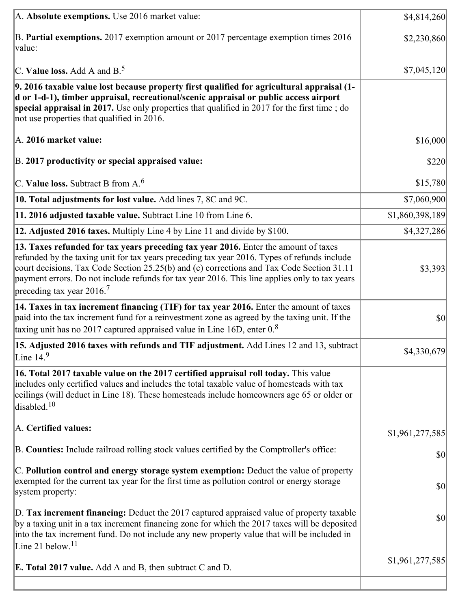| A. Absolute exemptions. Use 2016 market value:                                                                                                                                                                                                                                                                                                                                                                            | \$4,814,260     |
|---------------------------------------------------------------------------------------------------------------------------------------------------------------------------------------------------------------------------------------------------------------------------------------------------------------------------------------------------------------------------------------------------------------------------|-----------------|
| B. Partial exemptions. 2017 exemption amount or 2017 percentage exemption times 2016<br>value:                                                                                                                                                                                                                                                                                                                            | \$2,230,860     |
| C. Value loss. Add A and $B^5$ .                                                                                                                                                                                                                                                                                                                                                                                          | \$7,045,120     |
| 9. 2016 taxable value lost because property first qualified for agricultural appraisal (1-<br>d or 1-d-1), timber appraisal, recreational/scenic appraisal or public access airport<br>special appraisal in 2017. Use only properties that qualified in 2017 for the first time; do<br>not use properties that qualified in 2016.                                                                                         |                 |
| A. 2016 market value:                                                                                                                                                                                                                                                                                                                                                                                                     | \$16,000        |
| B. 2017 productivity or special appraised value:                                                                                                                                                                                                                                                                                                                                                                          | \$220           |
| $ C$ . Value loss. Subtract B from A. <sup>6</sup>                                                                                                                                                                                                                                                                                                                                                                        | \$15,780        |
| 10. Total adjustments for lost value. Add lines 7, 8C and 9C.                                                                                                                                                                                                                                                                                                                                                             | \$7,060,900     |
| 11. 2016 adjusted taxable value. Subtract Line 10 from Line 6.                                                                                                                                                                                                                                                                                                                                                            | \$1,860,398,189 |
| 12. Adjusted 2016 taxes. Multiply Line 4 by Line 11 and divide by \$100.                                                                                                                                                                                                                                                                                                                                                  | \$4,327,286     |
| 13. Taxes refunded for tax years preceding tax year 2016. Enter the amount of taxes<br>refunded by the taxing unit for tax years preceding tax year 2016. Types of refunds include<br>court decisions, Tax Code Section 25.25(b) and (c) corrections and Tax Code Section 31.11<br>payment errors. Do not include refunds for tax year 2016. This line applies only to tax years<br>preceding tax year 2016. <sup>7</sup> | \$3,393         |
| 14. Taxes in tax increment financing (TIF) for tax year 2016. Enter the amount of taxes<br>paid into the tax increment fund for a reinvestment zone as agreed by the taxing unit. If the<br>taxing unit has no 2017 captured appraised value in Line 16D, enter $0.8$                                                                                                                                                     | $ 10\rangle$    |
| 15. Adjusted 2016 taxes with refunds and TIF adjustment. Add Lines 12 and 13, subtract<br>Line $14.9$                                                                                                                                                                                                                                                                                                                     | \$4,330,679     |
| 16. Total 2017 taxable value on the 2017 certified appraisal roll today. This value<br>includes only certified values and includes the total taxable value of homesteads with tax<br>ceilings (will deduct in Line 18). These homesteads include homeowners age 65 or older or<br>disabled. <sup>10</sup>                                                                                                                 |                 |
| A. Certified values:                                                                                                                                                                                                                                                                                                                                                                                                      | \$1,961,277,585 |
| B. Counties: Include railroad rolling stock values certified by the Comptroller's office:                                                                                                                                                                                                                                                                                                                                 | \$0             |
| C. Pollution control and energy storage system exemption: Deduct the value of property<br>exempted for the current tax year for the first time as pollution control or energy storage<br>system property:                                                                                                                                                                                                                 | $ 10\rangle$    |
| D. Tax increment financing: Deduct the 2017 captured appraised value of property taxable<br>by a taxing unit in a tax increment financing zone for which the 2017 taxes will be deposited<br>into the tax increment fund. Do not include any new property value that will be included in<br>Line 21 below. <sup>11</sup>                                                                                                  | $ 10\rangle$    |
| <b>E. Total 2017 value.</b> Add A and B, then subtract C and D.                                                                                                                                                                                                                                                                                                                                                           | \$1,961,277,585 |
|                                                                                                                                                                                                                                                                                                                                                                                                                           |                 |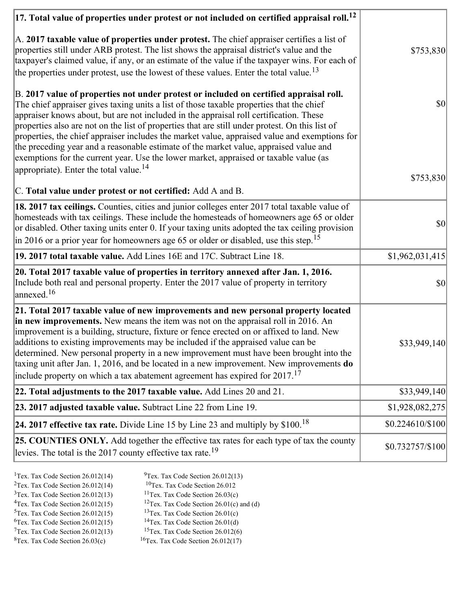| $ 17$ . Total value of properties under protest or not included on certified appraisal roll. $^{12}$                                                                                                                                                                                                                                                                                                                                                                                                                                                                                                                                                               |                  |
|--------------------------------------------------------------------------------------------------------------------------------------------------------------------------------------------------------------------------------------------------------------------------------------------------------------------------------------------------------------------------------------------------------------------------------------------------------------------------------------------------------------------------------------------------------------------------------------------------------------------------------------------------------------------|------------------|
| A. 2017 taxable value of properties under protest. The chief appraiser certifies a list of<br>properties still under ARB protest. The list shows the appraisal district's value and the<br>taxpayer's claimed value, if any, or an estimate of the value if the taxpayer wins. For each of<br>the properties under protest, use the lowest of these values. Enter the total value. <sup>13</sup>                                                                                                                                                                                                                                                                   | \$753,830        |
| B. 2017 value of properties not under protest or included on certified appraisal roll.<br>The chief appraiser gives taxing units a list of those taxable properties that the chief<br>appraiser knows about, but are not included in the appraisal roll certification. These<br>properties also are not on the list of properties that are still under protest. On this list of<br>properties, the chief appraiser includes the market value, appraised value and exemptions for<br>the preceding year and a reasonable estimate of the market value, appraised value and<br>exemptions for the current year. Use the lower market, appraised or taxable value (as | $ 10\rangle$     |
| appropriate). Enter the total value. <sup>14</sup><br>C. Total value under protest or not certified: Add A and B.                                                                                                                                                                                                                                                                                                                                                                                                                                                                                                                                                  | \$753,830        |
| 18. 2017 tax ceilings. Counties, cities and junior colleges enter 2017 total taxable value of<br>homesteads with tax ceilings. These include the homesteads of homeowners age 65 or older<br>or disabled. Other taxing units enter 0. If your taxing units adopted the tax ceiling provision<br>in 2016 or a prior year for homeowners age 65 or older or disabled, use this step. <sup>15</sup>                                                                                                                                                                                                                                                                   | $ 10\rangle$     |
| 19. 2017 total taxable value. Add Lines 16E and 17C. Subtract Line 18.                                                                                                                                                                                                                                                                                                                                                                                                                                                                                                                                                                                             | \$1,962,031,415  |
| 20. Total 2017 taxable value of properties in territory annexed after Jan. 1, 2016.<br>Include both real and personal property. Enter the 2017 value of property in territory<br>annexed. <sup>16</sup>                                                                                                                                                                                                                                                                                                                                                                                                                                                            | \$0              |
| 21. Total 2017 taxable value of new improvements and new personal property located<br>in new improvements. New means the item was not on the appraisal roll in 2016. An<br>improvement is a building, structure, fixture or fence erected on or affixed to land. New<br>additions to existing improvements may be included if the appraised value can be<br>determined. New personal property in a new improvement must have been brought into the<br>taxing unit after Jan. 1, 2016, and be located in a new improvement. New improvements do<br>include property on which a tax abatement agreement has expired for $2017$ . <sup>17</sup>                       | \$33,949,140     |
| 22. Total adjustments to the 2017 taxable value. Add Lines 20 and 21.                                                                                                                                                                                                                                                                                                                                                                                                                                                                                                                                                                                              | \$33,949,140     |
| 23. 2017 adjusted taxable value. Subtract Line 22 from Line 19.                                                                                                                                                                                                                                                                                                                                                                                                                                                                                                                                                                                                    | \$1,928,082,275  |
| 24. 2017 effective tax rate. Divide Line 15 by Line 23 and multiply by $$100$ . <sup>18</sup>                                                                                                                                                                                                                                                                                                                                                                                                                                                                                                                                                                      | \$0.224610/\$100 |
| 25. COUNTIES ONLY. Add together the effective tax rates for each type of tax the county<br>levies. The total is the 2017 county effective tax rate. <sup>19</sup>                                                                                                                                                                                                                                                                                                                                                                                                                                                                                                  | \$0.732757/\$100 |
|                                                                                                                                                                                                                                                                                                                                                                                                                                                                                                                                                                                                                                                                    |                  |

- <sup>1</sup>Tex. Tax Code Section 26.012(14) <sup>9</sup>Tex. Tax Code Section 26.012(13)
	-
- <sup>2</sup>Tex. Tax Code Section 26.012(14) <sup>10</sup>Tex. Tax Code Section 26.012<br><sup>3</sup>Tex. Tax Code Section 26.012(13) <sup>11</sup>Tex. Tax Code Section 26.03(c)  $3$ Tex. Tax Code Section 26.012(13)<br> $4$ Tex. Tax Code Section 26.012(15)
	- <sup>12</sup>Tex. Tax Code Section 26.01(c) and (d) <sup>13</sup>Tex. Tax Code Section 26.01(c)
- $5$ Tex. Tax Code Section 26.012(15)
- 
- 
- $7$ Tex. Tax Code Section 26.012(13)<br><sup>8</sup>Tex. Tax Code Section 26.03(c)
- <sup>6</sup>Tex. Tax Code Section 26.012(15) <sup>14</sup>Tex. Tax Code Section 26.01(d)<br><sup>7</sup>Tex. Tax Code Section 26.012(13) <sup>15</sup>Tex. Tax Code Section 26.012(6)
	- $16$ Tex. Tax Code Section 26.012(17)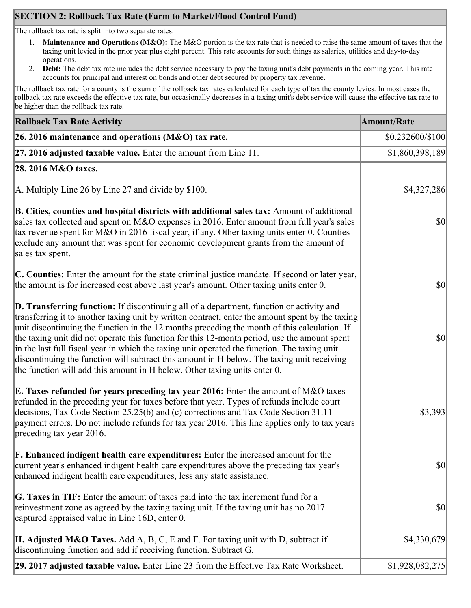# **SECTION 2: Rollback Tax Rate (Farm to Market/Flood Control Fund)**

The rollback tax rate is split into two separate rates:

- 1. **Maintenance and Operations (M&O):** The M&O portion is the tax rate that is needed to raise the same amount of taxes that the taxing unit levied in the prior year plus eight percent. This rate accounts for such things as salaries, utilities and day-to-day operations.
- 2. **Debt:** The debt tax rate includes the debt service necessary to pay the taxing unit's debt payments in the coming year. This rate accounts for principal and interest on bonds and other debt secured by property tax revenue.

The rollback tax rate for a county is the sum of the rollback tax rates calculated for each type of tax the county levies. In most cases the rollback tax rate exceeds the effective tax rate, but occasionally decreases in a taxing unit's debt service will cause the effective tax rate to be higher than the rollback tax rate.

| <b>Rollback Tax Rate Activity</b>                                                                                                                                                                                                                                                                                                                                                                                                                                                                                                                                                                                                                                              | <b>Amount/Rate</b> |
|--------------------------------------------------------------------------------------------------------------------------------------------------------------------------------------------------------------------------------------------------------------------------------------------------------------------------------------------------------------------------------------------------------------------------------------------------------------------------------------------------------------------------------------------------------------------------------------------------------------------------------------------------------------------------------|--------------------|
| 26. 2016 maintenance and operations ( $M&O$ ) tax rate.                                                                                                                                                                                                                                                                                                                                                                                                                                                                                                                                                                                                                        | \$0.232600/\$100   |
| 27. 2016 adjusted taxable value. Enter the amount from Line 11.                                                                                                                                                                                                                                                                                                                                                                                                                                                                                                                                                                                                                | \$1,860,398,189    |
| 28. 2016 M&O taxes.                                                                                                                                                                                                                                                                                                                                                                                                                                                                                                                                                                                                                                                            |                    |
| A. Multiply Line 26 by Line 27 and divide by $$100$ .                                                                                                                                                                                                                                                                                                                                                                                                                                                                                                                                                                                                                          | \$4,327,286        |
| B. Cities, counties and hospital districts with additional sales tax: Amount of additional<br>sales tax collected and spent on M&O expenses in 2016. Enter amount from full year's sales<br>tax revenue spent for M&O in 2016 fiscal year, if any. Other taxing units enter 0. Counties<br>exclude any amount that was spent for economic development grants from the amount of<br>sales tax spent.                                                                                                                                                                                                                                                                            | $ 10\rangle$       |
| C. Counties: Enter the amount for the state criminal justice mandate. If second or later year,<br>the amount is for increased cost above last year's amount. Other taxing units enter 0.                                                                                                                                                                                                                                                                                                                                                                                                                                                                                       | $ 10\rangle$       |
| <b>D. Transferring function:</b> If discontinuing all of a department, function or activity and<br>transferring it to another taxing unit by written contract, enter the amount spent by the taxing<br>unit discontinuing the function in the 12 months preceding the month of this calculation. If<br>the taxing unit did not operate this function for this 12-month period, use the amount spent<br>in the last full fiscal year in which the taxing unit operated the function. The taxing unit<br>discontinuing the function will subtract this amount in H below. The taxing unit receiving<br>the function will add this amount in H below. Other taxing units enter 0. | $ 10\rangle$       |
| E. Taxes refunded for years preceding tax year 2016: Enter the amount of M&O taxes<br>refunded in the preceding year for taxes before that year. Types of refunds include court<br>decisions, Tax Code Section 25.25(b) and (c) corrections and Tax Code Section 31.11<br>payment errors. Do not include refunds for tax year 2016. This line applies only to tax years<br>preceding tax year 2016.                                                                                                                                                                                                                                                                            | \$3,393            |
| <b>F. Enhanced indigent health care expenditures:</b> Enter the increased amount for the<br>current year's enhanced indigent health care expenditures above the preceding tax year's<br>enhanced indigent health care expenditures, less any state assistance.                                                                                                                                                                                                                                                                                                                                                                                                                 | <b>\$0</b>         |
| G. Taxes in TIF: Enter the amount of taxes paid into the tax increment fund for a<br>reinvestment zone as agreed by the taxing taxing unit. If the taxing unit has no 2017<br>captured appraised value in Line 16D, enter 0.                                                                                                                                                                                                                                                                                                                                                                                                                                                   | $ 10\rangle$       |
| <b>H. Adjusted M&amp;O Taxes.</b> Add A, B, C, E and F. For taxing unit with D, subtract if<br>discontinuing function and add if receiving function. Subtract G.                                                                                                                                                                                                                                                                                                                                                                                                                                                                                                               | \$4,330,679        |
| 29. 2017 adjusted taxable value. Enter Line 23 from the Effective Tax Rate Worksheet.                                                                                                                                                                                                                                                                                                                                                                                                                                                                                                                                                                                          | \$1,928,082,275    |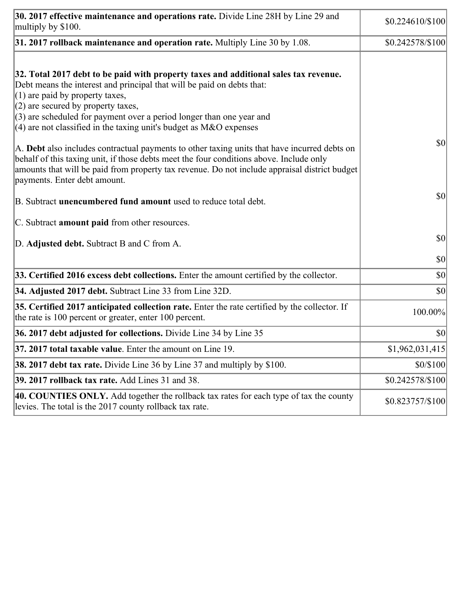| 30. 2017 effective maintenance and operations rate. Divide Line 28H by Line 29 and<br>multiply by \$100.                                                                                                                                                                                                                                                                                      | \$0.224610/\$100 |
|-----------------------------------------------------------------------------------------------------------------------------------------------------------------------------------------------------------------------------------------------------------------------------------------------------------------------------------------------------------------------------------------------|------------------|
| $31.2017$ rollback maintenance and operation rate. Multiply Line 30 by 1.08.                                                                                                                                                                                                                                                                                                                  | \$0.242578/\$100 |
| 32. Total 2017 debt to be paid with property taxes and additional sales tax revenue.<br>Debt means the interest and principal that will be paid on debts that:<br>$(1)$ are paid by property taxes,<br>$(2)$ are secured by property taxes,<br>$(3)$ are scheduled for payment over a period longer than one year and<br>$(4)$ are not classified in the taxing unit's budget as M&O expenses |                  |
| A. Debt also includes contractual payments to other taxing units that have incurred debts on<br>behalf of this taxing unit, if those debts meet the four conditions above. Include only<br>amounts that will be paid from property tax revenue. Do not include appraisal district budget<br>payments. Enter debt amount.                                                                      | $ 10\rangle$     |
| B. Subtract unencumbered fund amount used to reduce total debt.                                                                                                                                                                                                                                                                                                                               | $ 10\rangle$     |
| C. Subtract <b>amount paid</b> from other resources.                                                                                                                                                                                                                                                                                                                                          |                  |
| D. Adjusted debt. Subtract B and C from A.                                                                                                                                                                                                                                                                                                                                                    | $ 10\rangle$     |
|                                                                                                                                                                                                                                                                                                                                                                                               | $ 10\rangle$     |
| 33. Certified 2016 excess debt collections. Enter the amount certified by the collector.                                                                                                                                                                                                                                                                                                      | $ 10\rangle$     |
| 34. Adjusted 2017 debt. Subtract Line 33 from Line 32D.                                                                                                                                                                                                                                                                                                                                       | \$0              |
| 35. Certified 2017 anticipated collection rate. Enter the rate certified by the collector. If<br>the rate is 100 percent or greater, enter 100 percent.                                                                                                                                                                                                                                       | 100.00%          |
| 36. 2017 debt adjusted for collections. Divide Line 34 by Line 35                                                                                                                                                                                                                                                                                                                             | $ 10\rangle$     |
| 37. 2017 total taxable value. Enter the amount on Line 19.                                                                                                                                                                                                                                                                                                                                    | \$1,962,031,415  |
| 38. 2017 debt tax rate. Divide Line 36 by Line 37 and multiply by \$100.                                                                                                                                                                                                                                                                                                                      | \$0/\$100        |
| 39. 2017 rollback tax rate. Add Lines 31 and 38.                                                                                                                                                                                                                                                                                                                                              | \$0.242578/\$100 |
| 40. COUNTIES ONLY. Add together the rollback tax rates for each type of tax the county<br>levies. The total is the 2017 county rollback tax rate.                                                                                                                                                                                                                                             | \$0.823757/\$100 |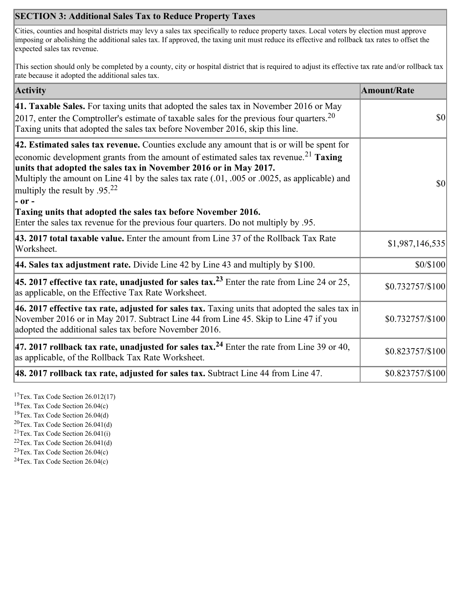## **SECTION 3: Additional Sales Tax to Reduce Property Taxes**

Cities, counties and hospital districts may levy a sales tax specifically to reduce property taxes. Local voters by election must approve imposing or abolishing the additional sales tax. If approved, the taxing unit must reduce its effective and rollback tax rates to offset the expected sales tax revenue.

This section should only be completed by a county, city or hospital district that is required to adjust its effective tax rate and/or rollback tax rate because it adopted the additional sales tax.

| <b>Activity</b>                                                                                                                                                                                                                                                                                                                                                                                                    | <b>Amount/Rate</b> |
|--------------------------------------------------------------------------------------------------------------------------------------------------------------------------------------------------------------------------------------------------------------------------------------------------------------------------------------------------------------------------------------------------------------------|--------------------|
| 41. Taxable Sales. For taxing units that adopted the sales tax in November 2016 or May<br>[2017, enter the Comptroller's estimate of taxable sales for the previous four quarters. <sup>20</sup><br>Taxing units that adopted the sales tax before November 2016, skip this line.                                                                                                                                  | \$0                |
| 42. Estimated sales tax revenue. Counties exclude any amount that is or will be spent for<br>economic development grants from the amount of estimated sales tax revenue. <sup>21</sup> Taxing<br>units that adopted the sales tax in November 2016 or in May 2017.<br>Multiply the amount on Line 41 by the sales tax rate (.01, .005 or .0025, as applicable) and<br>multiply the result by $.95^{22}$<br> - or - | \$0                |
| Taxing units that adopted the sales tax before November 2016.<br>Enter the sales tax revenue for the previous four quarters. Do not multiply by .95.                                                                                                                                                                                                                                                               |                    |
| 43. 2017 total taxable value. Enter the amount from Line 37 of the Rollback Tax Rate<br>Worksheet.                                                                                                                                                                                                                                                                                                                 | \$1,987,146,535    |
| <b>44. Sales tax adjustment rate.</b> Divide Line 42 by Line 43 and multiply by \$100.                                                                                                                                                                                                                                                                                                                             | \$0/\$100          |
| 45. 2017 effective tax rate, unadjusted for sales tax. <sup>23</sup> Enter the rate from Line 24 or 25,<br>as applicable, on the Effective Tax Rate Worksheet.                                                                                                                                                                                                                                                     | \$0.732757/\$100   |
| 46. 2017 effective tax rate, adjusted for sales tax. Taxing units that adopted the sales tax in<br>November 2016 or in May 2017. Subtract Line 44 from Line 45. Skip to Line 47 if you<br>adopted the additional sales tax before November 2016.                                                                                                                                                                   | \$0.732757/\$100   |
| 47. 2017 rollback tax rate, unadjusted for sales tax. <sup>24</sup> Enter the rate from Line 39 or 40,<br>as applicable, of the Rollback Tax Rate Worksheet.                                                                                                                                                                                                                                                       | \$0.823757/\$100   |
| $ 48.2017$ rollback tax rate, adjusted for sales tax. Subtract Line 44 from Line 47.                                                                                                                                                                                                                                                                                                                               | \$0.823757/\$100   |

<sup>17</sup>Tex. Tax Code Section  $26.012(17)$ 

<sup>18</sup>Tex. Tax Code Section 26.04(c)

<sup>19</sup>Tex. Tax Code Section 26.04(d)

 ${}^{20}$ Tex. Tax Code Section 26.041(d)

<sup>21</sup>Tex. Tax Code Section  $26.041(i)$ 

 $22$ Tex. Tax Code Section 26.041(d) <sup>23</sup>Tex. Tax Code Section 26.04(c)

 $24$ Tex. Tax Code Section 26.04(c)